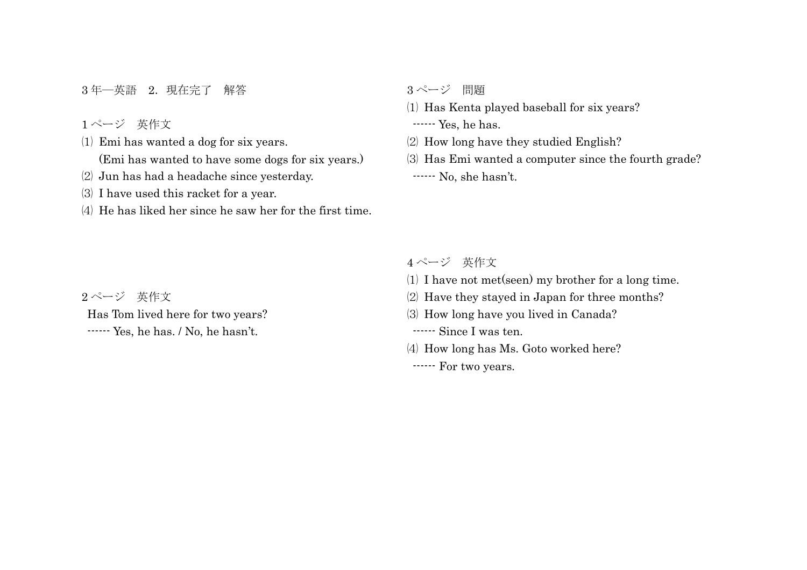3年一英語 2. 現在完了 解答

ページ 英作文

Emi has wanted a dog for six years.

(Emi has wanted to have some dogs for six years.)

- Jun has had a headache since yesterday.
- I have used this racket for a year.
- He has liked her since he saw her for the first time.

ページ 問題

Has Kenta played baseball for six years?

------ Yes, he has.

How long have they studied English?

 Has Emi wanted a computer since the fourth grade? ------ No, she hasn't.

## ページ 英作文

- I have not met(seen) my brother for a long time.
- Have they stayed in Japan for three months?
- How long have you lived in Canada?

------ Since I was ten.

How long has Ms. Goto worked here?

------ For two years.

ページ 英作文

Has Tom lived here for two years? ------ Yes, he has. / No, he hasn't.